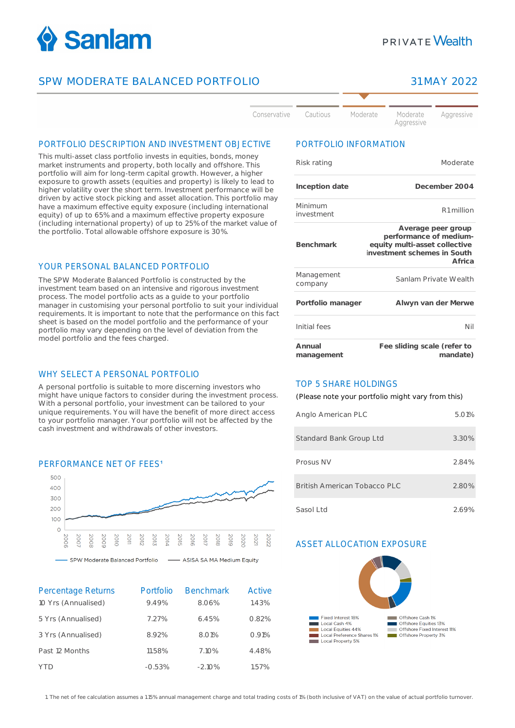

## SPW MODERATE BALANCED PORTFOLIO 31 MAY 2022

# **PRIVATE Wealth**



#### PORTFOLIO DESCRIPTION AND INVESTMENT OBJECTIVE

This multi-asset class portfolio invests in equities, bonds, money market instruments and property, both locally and offshore. This portfolio will aim for long-term capital growth. However, a higher exposure to growth assets (equities and property) is likely to lead to higher volatility over the short term. Investment performance will be driven by active stock picking and asset allocation. This portfolio may have a maximum effective equity exposure (including international equity) of up to 65% and a maximum effective property exposure (including international property) of up to 25% of the market value of the portfolio. Total allowable offshore exposure is 30%.

#### YOUR PERSONAL BALANCED PORTFOLIO

The SPW Moderate Balanced Portfolio is constructed by the investment team based on an intensive and rigorous investment process. The model portfolio acts as a guide to your portfolio manager in customising your personal portfolio to suit your individual requirements. It is important to note that the performance on this fact sheet is based on the model portfolio and the performance of your portfolio may vary depending on the level of deviation from the model portfolio and the fees charged.

#### WHY SELECT A PERSONAL PORTFOLIO

A personal portfolio is suitable to more discerning investors who might have unique factors to consider during the investment process. With a personal portfolio, your investment can be tailored to your unique requirements. You will have the benefit of more direct access to your portfolio manager. Your portfolio will not be affected by the cash investment and withdrawals of other investors.

#### PERFORMANCE NET OF FFES<sup>1</sup>



- ASISA SA MA Medium Equity SPW Moderate Balanced Portfolio

| Percentage Returns<br>10 Yrs (Annualised) | Portfolio<br>9.49% | <b>Benchmark</b><br>8.06% | Active<br>1.43% |
|-------------------------------------------|--------------------|---------------------------|-----------------|
| 5 Yrs (Annualised)                        | 7.27%              | 6.45%                     | 0.82%           |
| 3 Yrs (Annualised)                        | 8.92%              | 8.01%                     | 0.91%           |
| Past 12 Months                            | 11.58%             | 7.10%                     | 4.48%           |
| YTD                                       | $-0.53%$           | $-2.10%$                  | 1.57%           |

### PORTFOLIO INFORMATION

| Risk rating           | Moderate                                                                                                               |
|-----------------------|------------------------------------------------------------------------------------------------------------------------|
| Inception date        | December 2004                                                                                                          |
| Minimum<br>investment | R1 million                                                                                                             |
| <b>Benchmark</b>      | Average peer group<br>performance of medium-<br>equity multi-asset collective<br>investment schemes in South<br>Africa |
| Management<br>company | Sanlam Private Wealth                                                                                                  |
| Portfolio manager     | Alwyn van der Merwe                                                                                                    |
| Initial fees          | Nil                                                                                                                    |
| Annual<br>management  | Fee sliding scale (refer to<br>mandate)                                                                                |

#### TOP 5 SHARE HOLDINGS

(Please note your portfolio might vary from this)

| Anglo American PLC           | 5.01% |
|------------------------------|-------|
| Standard Bank Group Ltd      | 3.30% |
| Prosus NV                    | 2.84% |
| British American Tobacco PLC | 2.80% |
| Sasol Ltd                    | 2.69% |

#### ASSET ALLOCATION EXPOSURE



1. The net of fee calculation assumes a 1.15% annual management charge and total trading costs of 1% (both inclusive of VAT) on the value of actual portfolio turnover